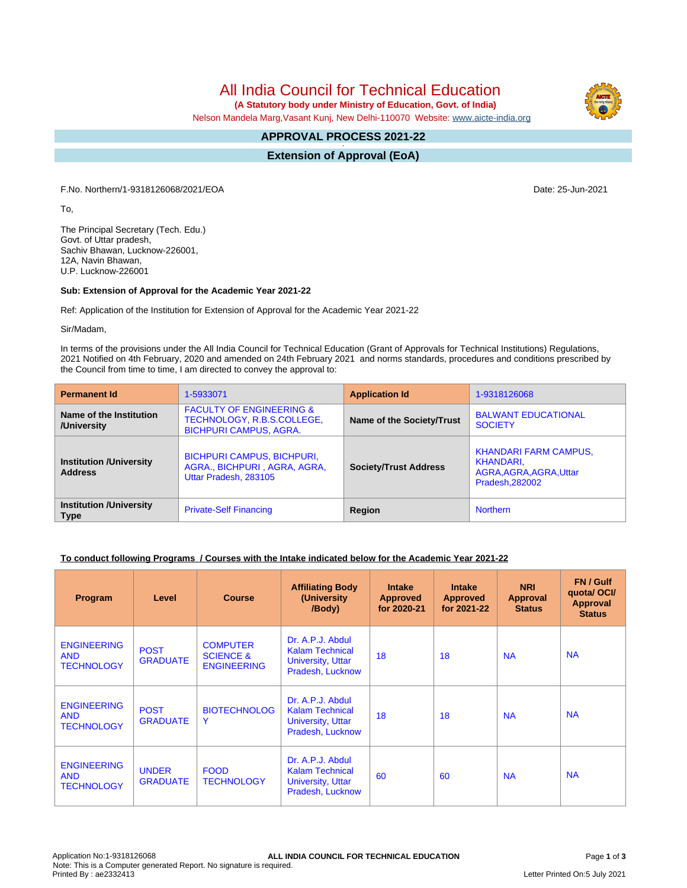All India Council for Technical Education

 **(A Statutory body under Ministry of Education, Govt. of India)**

Nelson Mandela Marg,Vasant Kunj, New Delhi-110070 Website: [www.aicte-india.org](http://www.aicte-india.org)

#### **APPROVAL PROCESS 2021-22 -**

**Extension of Approval (EoA)**

F.No. Northern/1-9318126068/2021/EOA Date: 25-Jun-2021

To,

The Principal Secretary (Tech. Edu.) Govt. of Uttar pradesh, Sachiv Bhawan, Lucknow-226001, 12A, Navin Bhawan, U.P. Lucknow-226001

### **Sub: Extension of Approval for the Academic Year 2021-22**

Ref: Application of the Institution for Extension of Approval for the Academic Year 2021-22

Sir/Madam,

In terms of the provisions under the All India Council for Technical Education (Grant of Approvals for Technical Institutions) Regulations, 2021 Notified on 4th February, 2020 and amended on 24th February 2021 and norms standards, procedures and conditions prescribed by the Council from time to time, I am directed to convey the approval to:

| <b>Permanent Id</b>                              | 1-5933071                                                                                          | <b>Application Id</b>        | 1-9318126068                                                                            |  |
|--------------------------------------------------|----------------------------------------------------------------------------------------------------|------------------------------|-----------------------------------------------------------------------------------------|--|
| Name of the Institution<br>/University           | <b>FACULTY OF ENGINEERING &amp;</b><br>TECHNOLOGY, R.B.S.COLLEGE,<br><b>BICHPURI CAMPUS, AGRA.</b> | Name of the Society/Trust    | <b>BALWANT EDUCATIONAL</b><br><b>SOCIETY</b>                                            |  |
| <b>Institution /University</b><br><b>Address</b> | <b>BICHPURI CAMPUS, BICHPURI,</b><br>AGRA., BICHPURI, AGRA, AGRA,<br>Uttar Pradesh, 283105         | <b>Society/Trust Address</b> | <b>KHANDARI FARM CAMPUS,</b><br>KHANDARI.<br>AGRA, AGRA, AGRA, Uttar<br>Pradesh, 282002 |  |
| <b>Institution /University</b><br><b>Type</b>    | <b>Private-Self Financing</b>                                                                      | Region                       | <b>Northern</b>                                                                         |  |

## **To conduct following Programs / Courses with the Intake indicated below for the Academic Year 2021-22**

| Program                                               | Level                           | <b>Course</b>                                                 | <b>Affiliating Body</b><br>(University<br>/Body)                                           | <b>Intake</b><br><b>Approved</b><br>for 2020-21 | <b>Intake</b><br><b>Approved</b><br>for 2021-22 | <b>NRI</b><br>Approval<br><b>Status</b> | FN / Gulf<br>quota/OCI/<br><b>Approval</b><br><b>Status</b> |
|-------------------------------------------------------|---------------------------------|---------------------------------------------------------------|--------------------------------------------------------------------------------------------|-------------------------------------------------|-------------------------------------------------|-----------------------------------------|-------------------------------------------------------------|
| <b>ENGINEERING</b><br><b>AND</b><br><b>TECHNOLOGY</b> | <b>POST</b><br><b>GRADUATE</b>  | <b>COMPUTER</b><br><b>SCIENCE &amp;</b><br><b>ENGINEERING</b> | Dr. A.P.J. Abdul<br><b>Kalam Technical</b><br><b>University, Uttar</b><br>Pradesh, Lucknow | 18                                              | 18                                              | <b>NA</b>                               | <b>NA</b>                                                   |
| <b>ENGINEERING</b><br><b>AND</b><br><b>TECHNOLOGY</b> | <b>POST</b><br><b>GRADUATE</b>  | <b>BIOTECHNOLOG</b><br>Y                                      | Dr. A.P.J. Abdul<br><b>Kalam Technical</b><br><b>University, Uttar</b><br>Pradesh, Lucknow | 18                                              | 18                                              | <b>NA</b>                               | <b>NA</b>                                                   |
| <b>ENGINEERING</b><br><b>AND</b><br><b>TECHNOLOGY</b> | <b>UNDER</b><br><b>GRADUATE</b> | <b>FOOD</b><br><b>TECHNOLOGY</b>                              | Dr. A.P.J. Abdul<br><b>Kalam Technical</b><br><b>University, Uttar</b><br>Pradesh, Lucknow | 60                                              | 60                                              | <b>NA</b>                               | <b>NA</b>                                                   |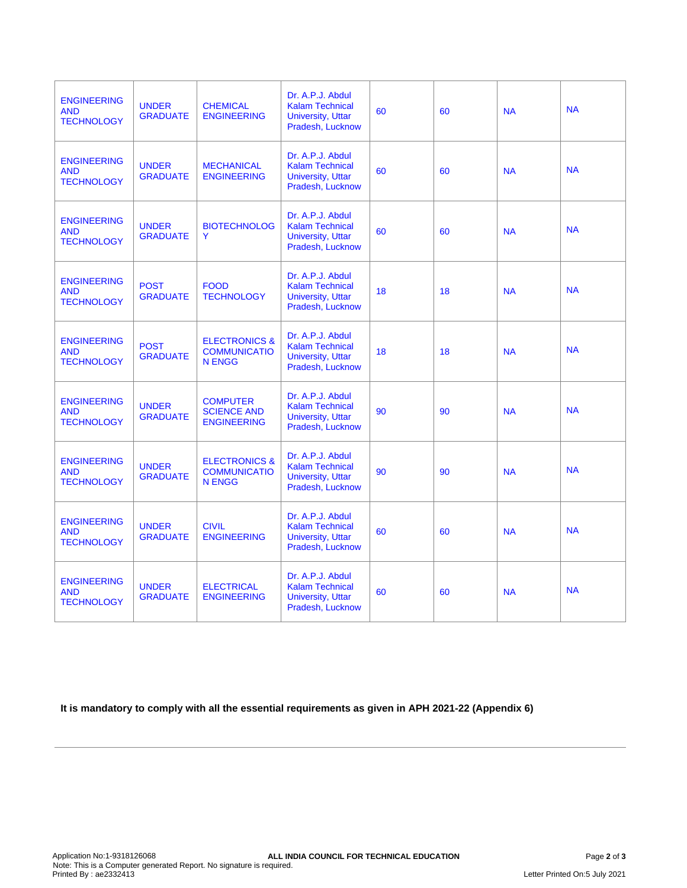| <b>ENGINEERING</b><br><b>AND</b><br><b>TECHNOLOGY</b> | <b>UNDER</b><br><b>GRADUATE</b> | <b>CHEMICAL</b><br><b>ENGINEERING</b>                            | Dr. A.P.J. Abdul<br><b>Kalam Technical</b><br><b>University, Uttar</b><br>Pradesh, Lucknow | 60 | 60 | <b>NA</b> | <b>NA</b> |
|-------------------------------------------------------|---------------------------------|------------------------------------------------------------------|--------------------------------------------------------------------------------------------|----|----|-----------|-----------|
| <b>ENGINEERING</b><br><b>AND</b><br><b>TECHNOLOGY</b> | <b>UNDER</b><br><b>GRADUATE</b> | <b>MECHANICAL</b><br><b>ENGINEERING</b>                          | Dr. A.P.J. Abdul<br><b>Kalam Technical</b><br><b>University, Uttar</b><br>Pradesh, Lucknow | 60 | 60 | <b>NA</b> | <b>NA</b> |
| <b>ENGINEERING</b><br><b>AND</b><br><b>TECHNOLOGY</b> | <b>UNDER</b><br><b>GRADUATE</b> | <b>BIOTECHNOLOG</b><br>Y                                         | Dr. A.P.J. Abdul<br><b>Kalam Technical</b><br>University, Uttar<br>Pradesh, Lucknow        | 60 | 60 | <b>NA</b> | <b>NA</b> |
| <b>ENGINEERING</b><br><b>AND</b><br><b>TECHNOLOGY</b> | <b>POST</b><br><b>GRADUATE</b>  | <b>FOOD</b><br><b>TECHNOLOGY</b>                                 | Dr. A.P.J. Abdul<br><b>Kalam Technical</b><br><b>University, Uttar</b><br>Pradesh, Lucknow | 18 | 18 | <b>NA</b> | <b>NA</b> |
| <b>ENGINEERING</b><br><b>AND</b><br><b>TECHNOLOGY</b> | <b>POST</b><br><b>GRADUATE</b>  | <b>ELECTRONICS &amp;</b><br><b>COMMUNICATIO</b><br><b>N ENGG</b> | Dr. A.P.J. Abdul<br><b>Kalam Technical</b><br><b>University, Uttar</b><br>Pradesh, Lucknow | 18 | 18 | <b>NA</b> | <b>NA</b> |
| <b>ENGINEERING</b><br><b>AND</b><br><b>TECHNOLOGY</b> | <b>UNDER</b><br><b>GRADUATE</b> | <b>COMPUTER</b><br><b>SCIENCE AND</b><br><b>ENGINEERING</b>      | Dr. A.P.J. Abdul<br><b>Kalam Technical</b><br><b>University, Uttar</b><br>Pradesh, Lucknow | 90 | 90 | <b>NA</b> | <b>NA</b> |
| <b>ENGINEERING</b><br><b>AND</b><br><b>TECHNOLOGY</b> | <b>UNDER</b><br><b>GRADUATE</b> | <b>ELECTRONICS &amp;</b><br><b>COMMUNICATIO</b><br><b>N ENGG</b> | Dr. A.P.J. Abdul<br><b>Kalam Technical</b><br><b>University, Uttar</b><br>Pradesh, Lucknow | 90 | 90 | <b>NA</b> | <b>NA</b> |
| <b>ENGINEERING</b><br><b>AND</b><br><b>TECHNOLOGY</b> | <b>UNDER</b><br><b>GRADUATE</b> | <b>CIVIL</b><br><b>ENGINEERING</b>                               | Dr. A.P.J. Abdul<br><b>Kalam Technical</b><br><b>University, Uttar</b><br>Pradesh, Lucknow | 60 | 60 | <b>NA</b> | <b>NA</b> |
| <b>ENGINEERING</b><br><b>AND</b><br><b>TECHNOLOGY</b> | <b>UNDER</b><br><b>GRADUATE</b> | <b>ELECTRICAL</b><br><b>ENGINEERING</b>                          | Dr. A.P.J. Abdul<br><b>Kalam Technical</b><br>University, Uttar<br>Pradesh, Lucknow        | 60 | 60 | <b>NA</b> | <b>NA</b> |

**It is mandatory to comply with all the essential requirements as given in APH 2021-22 (Appendix 6)**